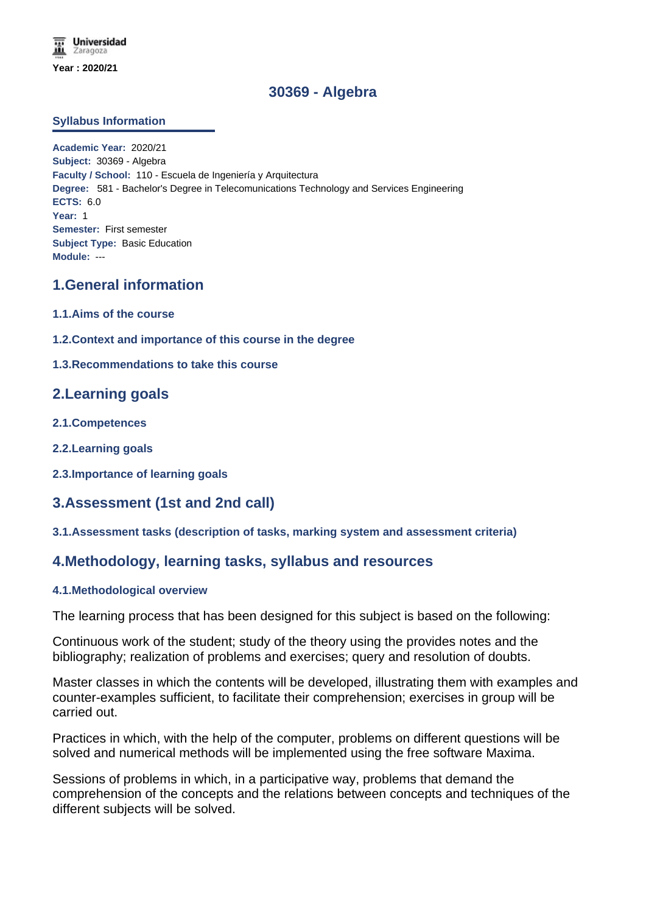# **30369 - Algebra**

#### **Syllabus Information**

**Academic Year:** 2020/21 **Subject:** 30369 - Algebra **Faculty / School:** 110 - Escuela de Ingeniería y Arquitectura **Degree:** 581 - Bachelor's Degree in Telecomunications Technology and Services Engineering **ECTS:** 6.0 **Year:** 1 **Semester:** First semester **Subject Type:** Basic Education **Module:** ---

## **1.General information**

- **1.1.Aims of the course**
- **1.2.Context and importance of this course in the degree**
- **1.3.Recommendations to take this course**

## **2.Learning goals**

- **2.1.Competences**
- **2.2.Learning goals**
- **2.3.Importance of learning goals**

## **3.Assessment (1st and 2nd call)**

#### **3.1.Assessment tasks (description of tasks, marking system and assessment criteria)**

## **4.Methodology, learning tasks, syllabus and resources**

#### **4.1.Methodological overview**

The learning process that has been designed for this subject is based on the following:

Continuous work of the student; study of the theory using the provides notes and the bibliography; realization of problems and exercises; query and resolution of doubts.

Master classes in which the contents will be developed, illustrating them with examples and counter-examples sufficient, to facilitate their comprehension; exercises in group will be carried out.

Practices in which, with the help of the computer, problems on different questions will be solved and numerical methods will be implemented using the free software Maxima.

Sessions of problems in which, in a participative way, problems that demand the comprehension of the concepts and the relations between concepts and techniques of the different subjects will be solved.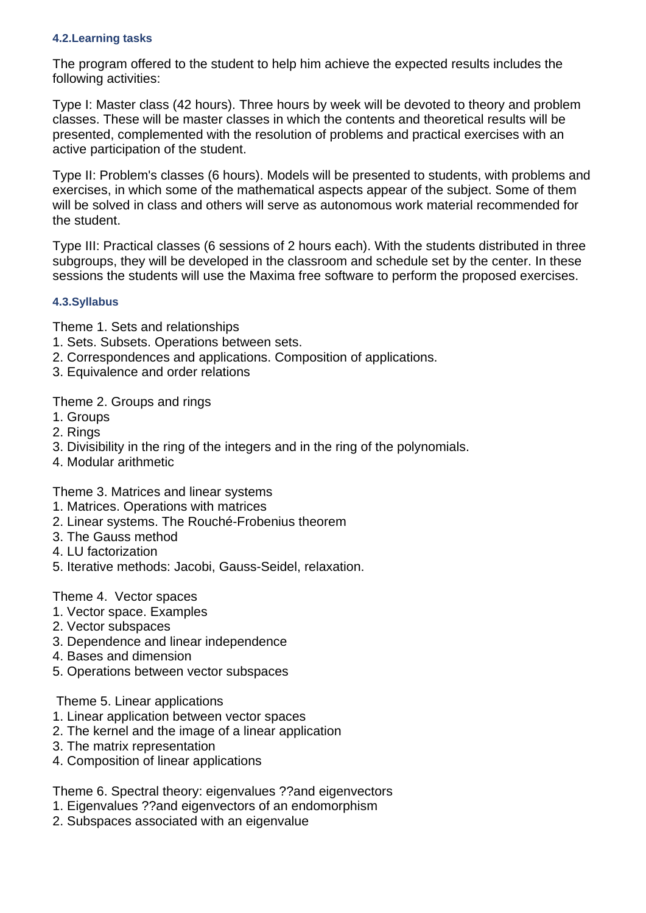#### **4.2.Learning tasks**

The program offered to the student to help him achieve the expected results includes the following activities:

Type I: Master class (42 hours). Three hours by week will be devoted to theory and problem classes. These will be master classes in which the contents and theoretical results will be presented, complemented with the resolution of problems and practical exercises with an active participation of the student.

Type II: Problem's classes (6 hours). Models will be presented to students, with problems and exercises, in which some of the mathematical aspects appear of the subject. Some of them will be solved in class and others will serve as autonomous work material recommended for the student.

Type III: Practical classes (6 sessions of 2 hours each). With the students distributed in three subgroups, they will be developed in the classroom and schedule set by the center. In these sessions the students will use the Maxima free software to perform the proposed exercises.

## **4.3.Syllabus**

Theme 1. Sets and relationships

- 1. Sets. Subsets. Operations between sets.
- 2. Correspondences and applications. Composition of applications.
- 3. Equivalence and order relations

Theme 2. Groups and rings

- 1. Groups
- 2. Rings
- 3. Divisibility in the ring of the integers and in the ring of the polynomials.
- 4. Modular arithmetic

Theme 3. Matrices and linear systems

- 1. Matrices. Operations with matrices
- 2. Linear systems. The Rouché-Frobenius theorem
- 3. The Gauss method
- 4. LU factorization
- 5. Iterative methods: Jacobi, Gauss-Seidel, relaxation.

Theme 4. Vector spaces

- 1. Vector space. Examples
- 2. Vector subspaces
- 3. Dependence and linear independence
- 4. Bases and dimension
- 5. Operations between vector subspaces

Theme 5. Linear applications

- 1. Linear application between vector spaces
- 2. The kernel and the image of a linear application
- 3. The matrix representation
- 4. Composition of linear applications

Theme 6. Spectral theory: eigenvalues ??and eigenvectors

- 1. Eigenvalues ??and eigenvectors of an endomorphism
- 2. Subspaces associated with an eigenvalue